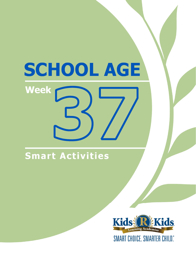# **Smart Activities**

**Week** 

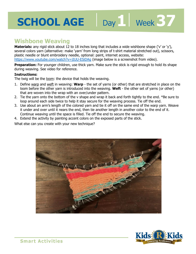## **Wishbone Weaving**

Several colors yarn (alternative, make yarn nonriong strips or t-shirt material stretched out), scissors,<br>plastic needle or blunt embroidery needle, optional: paint, internet access, website:<br>https://www.youtube.com/watch? **Materials:** any rigid stick about 12 to 18 inches long that includes a wide wishbone shape ('v' or 'y'), several colors yarn (alternative: make 'yarn' from long strips of t-shirt material stretched out), scissors, plastic needle or blunt embroidery needle, optional: paint, internet access, website: https://www.youtube.com/watch?v=jIUU-ESiDAg (image below is a screenshot from video).

Day 1 | Week 37

during weaving. See video for reference.

### **Instructions:**

The twig will be the loom: the device that holds the weaving.

- 1. Define warp and weft in weaving: **Warp** the set of yarns (or other) that are stretched in place on the loom before the other yarn is introduced into the weaving. **Weft** - the other set of yarns (or other) that are woven into the wrap with an over/under pattern.
- 2. Tie the yarn onto the bottom of the v shape and wrap it back and forth tightly to the end. \*Be sure to loop around each side twice to help it stay secure for the weaving process. Tie off the end.
- 3. Use about an arm's length of the colored yarn and tie it off on the same end of the warp yarn. Weave it under and over until it nears the end, then tie another length in another color to the end of it. Continue weaving until the space is filled. Tie off the end to secure the weaving.
- 4. Extend the activity by painting accent colors on the exposed parts of the stick.

What else can you create with your new technique?



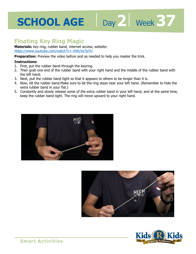## **Floating Key Ring Magic**

**Materials:** key ring, rubber band, internet access, website: https://www.youtube.com/watch?v=-rtWyVe7pYU

master the trick. **Preparation:** Preview the video before and as needed to help you master the trick.

### **Instructions:**

- 1. First, put the rubber band through the keyring.
- 2. Then grab one end of the rubber band with your right hand and the middle of the rubber band with the left hand.
- 3. Next, pull the rubber band tight so that it appears to others to be longer than it is.
- 4. Now, tilt the rubber band.Make sure to let the ring stays near your left hand. (Remember to hide the extra rubber band in your fist.)
- 5. Constantly and slowly release some of the extra rubber band in your left hand, and at the same time, keep the rubber band tight. The ring will move upward to your right hand.





Day 2 | Week 37

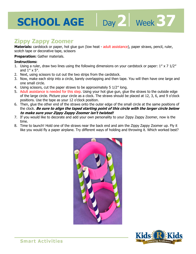# **2 37**

## **Zippy Zappy Zoomer**

**Materials:** cardstock or paper, hot glue gun (low heat - adult assistance), paper straws, pencil, ruler, scotch tape or decorative tape, scissors

### **Preparation:** Gather materials.

### **Instructions:**

- Scotch tape or decorative tape, scissors<br>**Preparation:** Gather materials.<br>1. Using a ruler, draw two lines using the following dimensions on your cardstock or paper: 1" x 7 1/2" and 1″ x 5″.
- 2. Next, using scissors to cut out the two strips from the cardstock.
- 3. Now, make each strip into a circle, barely overlapping and then tape. You will then have one large and one small circle.
- 4. Using scissors, cut the paper straws to be approximately 5 1/2″ long.
- 5. Adult assistance is needed for this step. Using your hot glue gun, glue the straws to the outside edge of the large circle. Picture your circle as a clock. The straws should be placed at 12, 3, 6, and 9 o'clock positions. Use the tape as your 12 o'clock position.
- 6. Then, glue the other end of the straws onto the outer edge of the small circle at the same positions of the clock. **Be sure to align the taped starting point of this circle with the larger circle below to make sure your Zippy Zappy Zoomer isn't twisted!**
- 7. If you would like to decorate and add your own personality to your Zippy Zappy Zoomer, now is the time.
- 8. Time to launch! Hold one of the straws near the back end and aim the Zippy Zappy Zoomer up. Fly it like you would fly a paper airplane. Try different ways of holding and throwing it. Which worked best?



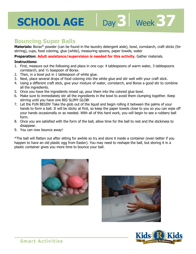## **Bouncing Super Balls**

**Materials:** Borax® powder (can be found in the laundry detergent aisle), bowl, cornstarch, craft sticks (for stirring), cups, food coloring, glue (white), measuring spoons, paper towels, water

**1 towels, water**<br>**5 activity.** Gather materials.<br>2005 of warm water, 3 tablespoo **Preparation: Adult assistance/supervision is needed for this activity.** Gather materials.

### **Instructions:**

- 1. First, measure out the following and place in one cup: 4 tablespoons of warm water, 3 tablespoons cornstarch, and ½ teaspoon of Borax.
- 2. Then, in a bowl put in 1 tablespoon of white glue.
- 3. Next, place several drops of food coloring into the white glue and stir well with your craft stick.
- 4. Using a different craft stick, give your mixture of water, cornstarch, and Borax a good stir to combine all the ingredients.
- 5. Once you have the ingredients mixed up, pour them into the colored glue bowl.
- 6. Make sure to immediately stir all the ingredients in the bowl to avoid them clumping together. Keep stirring until you have one BIG SLIMY GLOB!
- 7. Let the FUN BEGIN! Take the glob out of the liquid and begin rolling it between the palms of your hands to form a ball. It will be sticky at first, so keep the paper towels close to you so you can wipe off your hands occasionally or as needed. With all of this hard work, you will begin to see a rubbery ball form.
- 8. Once you are satisfied with the form of the ball, allow time for the ball to rest and the stickiness to disappear.
- 9. You can now bounce away!

\*The ball will flatten out after sitting for awhile so try and store it inside a container (even better if you happen to have an old plastic egg from Easter). You may need to reshape the ball, but storing it in a plastic container gives you more time to bounce your ball.





Day 3 | Week 37



**Smart Activities**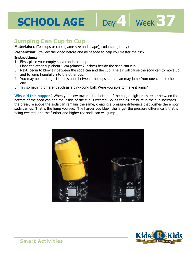## **Jumping Can Cup to Cup**

**Materials:** coffee cups or cups (same size and shape), soda can (empty)

master the trick.<br> **1**<br> **1**<br> **1**<br> **1**<br> **1 Preparation:** Preview the video before and as needed to help you master the trick.

### **Instructions:**

- 1. First, place your empty soda can into a cup.
- 2. Place the other cup about 5 cm (almost 2 inches) beside the soda can cup.
- 3. Next, begin to blow air between the soda can and the cup. The air will cause the soda can to move up and to jump hopefully into the other cup.

Day 4 | Week 37

- 4. You may need to adjust the distance between the cups so the can may jump from one cup to other one.
- 5. Try something different such as a ping-pong ball. Were you able to make it jump?

**Why did this happen?** When you blow towards the bottom of the cup, a high-pressure air between the bottom of the soda can and the inside of the cup is created. So, as the air pressure in the cup increases, the pressure above the soda can remains the same, creating a pressure difference that pushes the empty soda can up. That is the jump you see. The harder you blow, the larger the pressure difference is that is being created, and the further and higher the soda can will jump.



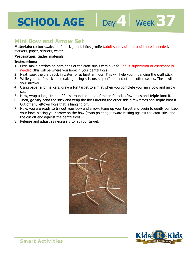# **5CHOOL AGE** Day 4 Week 37

## **Mini Bow and Arrow Set**

Materials: cotton swabs, craft sticks, dental floss, knife (adult supervision or assistance is needed, markers, paper, scissors, water

#### **Preparation:** Gather materials.

#### **Instructions:**

- 11ankers, paper, scissors, water<br>**Preparation:** Gather materials.<br>**1.** First, make notches on both ends of the craft sticks with a knife adult supervision or assistance is needed (this will be where you hook in your dental floss).
- 2. Next, soak the craft stick in water for at least an hour. This will help you in bending the craft stick.
- 3. While your craft sticks are soaking, using scissors snip off one end of the cotton swabs. These will be your arrows.
- 4. Using paper and markers, draw a fun target to aim at when you complete your mini bow and arrow set.
- 5. Now, wrap a long strand of floss around one end of the craft stick a few times and **triple** knot it.
- 6. Then, **gently** bend the stick and wrap the floss around the other side a few times and **triple** knot it. Cut off any leftover floss that is hanging off.
- 7. Now, you are ready to try out your bow and arrow. Hang up your target and begin to gently pull back your bow, placing your arrow on the bow (swab pointing outward resting against the craft stick and the cut off end against the dental floss).
- 8. Release and adjust as necessary to hit your target.